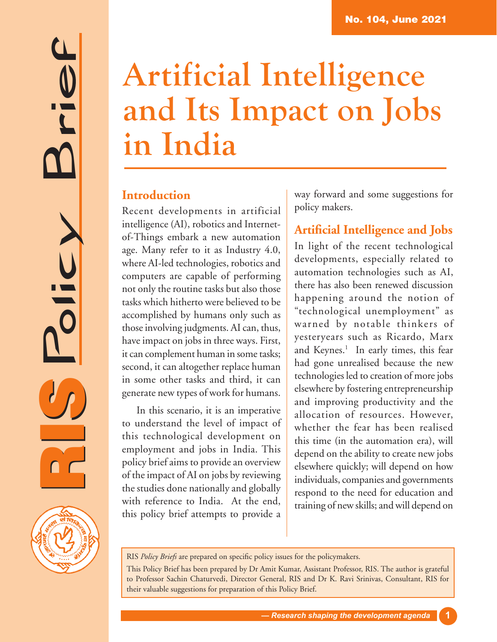# RIS Policy Brief



# **Artificial Intelligence and Its Impact on Jobs in India**

# **Introduction**

Recent developments in artificial intelligence (AI), robotics and Internetof-Things embark a new automation age. Many refer to it as Industry 4.0, where AI-led technologies, robotics and computers are capable of performing not only the routine tasks but also those tasks which hitherto were believed to be accomplished by humans only such as those involving judgments. AI can, thus, have impact on jobs in three ways. First, it can complement human in some tasks; second, it can altogether replace human in some other tasks and third, it can generate new types of work for humans.

In this scenario, it is an imperative to understand the level of impact of this technological development on employment and jobs in India. This policy brief aims to provide an overview of the impact of AI on jobs by reviewing the studies done nationally and globally with reference to India. At the end, this policy brief attempts to provide a

way forward and some suggestions for policy makers.

# **Artificial Intelligence and Jobs**

In light of the recent technological developments, especially related to automation technologies such as AI, there has also been renewed discussion happening around the notion of "technological unemployment" as warned by notable thinkers of yesteryears such as Ricardo, Marx and Keynes.<sup>1</sup> In early times, this fear had gone unrealised because the new technologies led to creation of more jobs elsewhere by fostering entrepreneurship and improving productivity and the allocation of resources. However, whether the fear has been realised this time (in the automation era), will depend on the ability to create new jobs elsewhere quickly; will depend on how individuals, companies and governments respond to the need for education and training of new skills; and will depend on

RIS *Policy Briefs* are prepared on specific policy issues for the policymakers.

This Policy Brief has been prepared by Dr Amit Kumar, Assistant Professor, RIS. The author is grateful to Professor Sachin Chaturvedi, Director General, RIS and Dr K. Ravi Srinivas, Consultant, RIS for their valuable suggestions for preparation of this Policy Brief.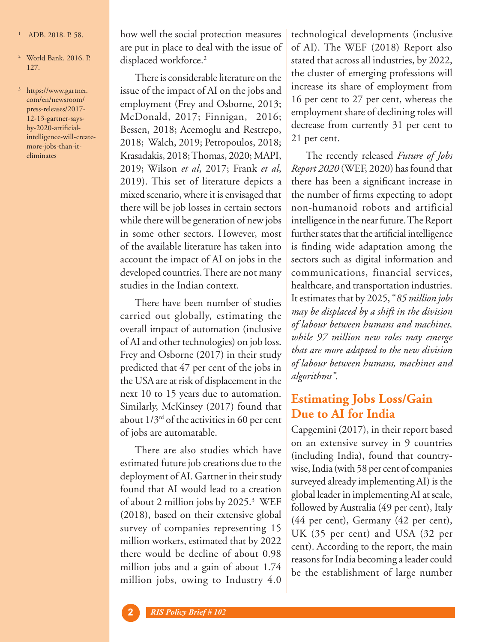- 1 ADB. 2018. P. 58.
- <sup>2</sup> World Bank. 2016. P. 127.
- <sup>3</sup> https://www.gartner. com/en/newsroom/ press-releases/2017- 12-13-gartner-saysby-2020-artificialintelligence-will-createmore-jobs-than-iteliminates

how well the social protection measures are put in place to deal with the issue of displaced workforce.<sup>2</sup>

There is considerable literature on the issue of the impact of AI on the jobs and employment (Frey and Osborne, 2013; McDonald, 2017; Finnigan, 2016; Bessen, 2018; Acemoglu and Restrepo, 2018; Walch, 2019; Petropoulos, 2018; Krasadakis, 2018; Thomas, 2020; MAPI, 2019; Wilson *et al*, 2017; Frank *et al*, 2019). This set of literature depicts a mixed scenario, where it is envisaged that there will be job losses in certain sectors while there will be generation of new jobs in some other sectors. However, most of the available literature has taken into account the impact of AI on jobs in the developed countries. There are not many studies in the Indian context.

There have been number of studies carried out globally, estimating the overall impact of automation (inclusive of AI and other technologies) on job loss. Frey and Osborne (2017) in their study predicted that 47 per cent of the jobs in the USA are at risk of displacement in the next 10 to 15 years due to automation. Similarly, McKinsey (2017) found that about  $1/3^{rd}$  of the activities in 60 per cent of jobs are automatable.

There are also studies which have estimated future job creations due to the deployment of AI. Gartner in their study found that AI would lead to a creation of about 2 million jobs by 2025.3 WEF (2018), based on their extensive global survey of companies representing 15 million workers, estimated that by 2022 there would be decline of about 0.98 million jobs and a gain of about 1.74 million jobs, owing to Industry 4.0

technological developments (inclusive of AI). The WEF (2018) Report also stated that across all industries, by 2022, the cluster of emerging professions will increase its share of employment from 16 per cent to 27 per cent, whereas the employment share of declining roles will decrease from currently 31 per cent to 21 per cent.

The recently released *Future of Jobs Report 2020* (WEF, 2020) has found that there has been a significant increase in the number of firms expecting to adopt non-humanoid robots and artificial intelligence in the near future. The Report further states that the artificial intelligence is finding wide adaptation among the sectors such as digital information and communications, financial services, healthcare, and transportation industries. It estimates that by 2025, "*85 million jobs may be displaced by a shift in the division of labour between humans and machines, while 97 million new roles may emerge that are more adapted to the new division of labour between humans, machines and algorithms"*.

# **Estimating Jobs Loss/Gain Due to AI for India**

Capgemini (2017), in their report based on an extensive survey in 9 countries (including India), found that countrywise, India (with 58 per cent of companies surveyed already implementing AI) is the global leader in implementing AI at scale, followed by Australia (49 per cent), Italy (44 per cent), Germany (42 per cent), UK (35 per cent) and USA (32 per cent). According to the report, the main reasons for India becoming a leader could be the establishment of large number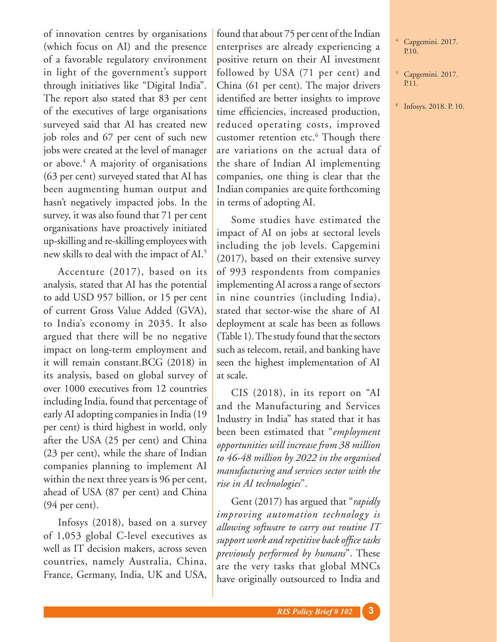of innovation centres by organisations (which focus on AI) and the presence of a favorable regulatory environment in light of the government's support through initiatives like "Digital India". The report also stated that 83 per cent of the executives of large organisations surveyed said that AI has created new job roles and 67 per cent of such new jobs were created at the level of manager or above.<sup>4</sup> A majority of organisations (63 per cent) surveyed stated that AI has been augmenting human output and hasn't negatively impacted jobs. In the survey, it was also found that 71 per cent organisations have proactively initiated up-skilling and re-skilling employees with new skills to deal with the impact of AI.5

Accenture (2017), based on its analysis, stated that AI has the potential to add USD 957 billion, or 15 per cent of current Gross Value Added (GVA), to India's economy in 2035. It also argued that there will be no negative impact on long-term employment and it will remain constant.BCG (2018) in its analysis, based on global survey of over 1000 executives from 12 countries including India, found that percentage of early AI adopting companies in India (19 per cent) is third highest in world, only after the USA (25 per cent) and China (23 per cent), while the share of Indian companies planning to implement AI within the next three years is 96 per cent, ahead of USA (87 per cent) and China (94 per cent).

Infosys (2018), based on a survey of 1,053 global C-level executives as well as IT decision makers, across seven countries, namely Australia, China, France, Germany, India, UK and USA,

found that about 75 per cent of the Indian enterprises are already experiencing a positive return on their AI investment followed by USA (71 per cent) and China (61 per cent). The major drivers identified are better insights to improve time efficiencies, increased production, reduced operating costs, improved customer retention etc.<sup>6</sup> Though there are variations on the actual data of the share of Indian AI implementing companies, one thing is clear that the Indian companies are quite forthcoming in terms of adopting AI.

Some studies have estimated the impact of AI on jobs at sectoral levels including the job levels. Capgemini (2017), based on their extensive survey of 993 respondents from companies implementing AI across a range of sectors in nine countries (including India), stated that sector-wise the share of AI deployment at scale has been as follows (Table 1). The study found that the sectors such as telecom, retail, and banking have seen the highest implementation of AI at scale.

CIS (2018), in its report on "AI and the Manufacturing and Services Industry in India" has stated that it has been been estimated that "*employment opportunities will increase from 38 million to 46-48 million by 2022 in the organised manufacturing and services sector with the rise in AI technologies*".

Gent (2017) has argued that "*rapidly improving automation technology is allowing software to carry out routine IT support work and repetitive back office tasks previously performed by humans*". These are the very tasks that global MNCs have originally outsourced to India and

- <sup>4</sup> Capgemini. 2017. P.10.
- <sup>5</sup> Capgemini. 2017. P.11.
- <sup>6</sup> Infosys. 2018. P. 10.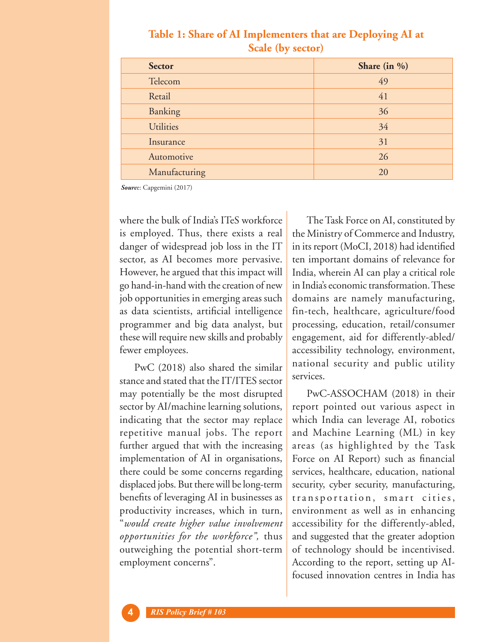| <b>Sector</b>    | Share (in $\%$ ) |
|------------------|------------------|
| Telecom          | 49               |
| Retail           | 41               |
| Banking          | 36               |
| <b>Utilities</b> | 34               |
| Insurance        | 31               |
| Automotive       | 26               |
| Manufacturing    | 20               |

## **Table 1: Share of AI Implementers that are Deploying AI at Scale (by sector)**

*Sourc*e: Capgemini (2017)

where the bulk of India's ITeS workforce is employed. Thus, there exists a real danger of widespread job loss in the IT sector, as AI becomes more pervasive. However, he argued that this impact will go hand-in-hand with the creation of new job opportunities in emerging areas such as data scientists, artificial intelligence programmer and big data analyst, but these will require new skills and probably fewer employees.

PwC (2018) also shared the similar stance and stated that the IT/ITES sector may potentially be the most disrupted sector by AI/machine learning solutions, indicating that the sector may replace repetitive manual jobs. The report further argued that with the increasing implementation of AI in organisations, there could be some concerns regarding displaced jobs. But there will be long-term benefits of leveraging AI in businesses as productivity increases, which in turn, "*would create higher value involvement opportunities for the workforce",* thus outweighing the potential short-term employment concerns".

The Task Force on AI, constituted by the Ministry of Commerce and Industry, in its report (MoCI, 2018) had identified ten important domains of relevance for India, wherein AI can play a critical role in India's economic transformation. These domains are namely manufacturing, fin-tech, healthcare, agriculture/food processing, education, retail/consumer engagement, aid for differently-abled/ accessibility technology, environment, national security and public utility services.

PwC-ASSOCHAM (2018) in their report pointed out various aspect in which India can leverage AI, robotics and Machine Learning (ML) in key areas (as highlighted by the Task Force on AI Report) such as financial services, healthcare, education, national security, cyber security, manufacturing, transportation, smart cities, environment as well as in enhancing accessibility for the differently-abled, and suggested that the greater adoption of technology should be incentivised. According to the report, setting up AIfocused innovation centres in India has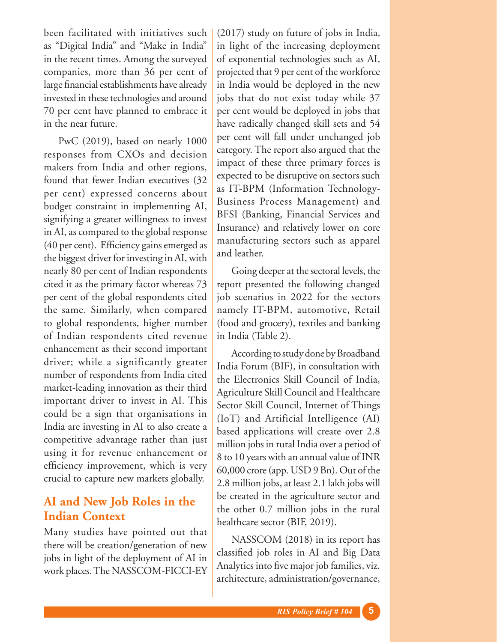been facilitated with initiatives such as "Digital India" and "Make in India" in the recent times. Among the surveyed companies, more than 36 per cent of large financial establishments have already invested in these technologies and around 70 per cent have planned to embrace it in the near future.

PwC (2019), based on nearly 1000 responses from CXOs and decision makers from India and other regions, found that fewer Indian executives (32 per cent) expressed concerns about budget constraint in implementing AI, signifying a greater willingness to invest in AI, as compared to the global response (40 per cent). Efficiency gains emerged as the biggest driver for investing in AI, with nearly 80 per cent of Indian respondents cited it as the primary factor whereas 73 per cent of the global respondents cited the same. Similarly, when compared to global respondents, higher number of Indian respondents cited revenue enhancement as their second important driver; while a significantly greater number of respondents from India cited market-leading innovation as their third important driver to invest in AI. This could be a sign that organisations in India are investing in AI to also create a competitive advantage rather than just using it for revenue enhancement or efficiency improvement, which is very crucial to capture new markets globally.

# **AI and New Job Roles in the Indian Context**

Many studies have pointed out that there will be creation/generation of new jobs in light of the deployment of AI in work places. The NASSCOM-FICCI-EY

(2017) study on future of jobs in India, in light of the increasing deployment of exponential technologies such as AI, projected that 9 per cent of the workforce in India would be deployed in the new jobs that do not exist today while 37 per cent would be deployed in jobs that have radically changed skill sets and 54 per cent will fall under unchanged job category. The report also argued that the impact of these three primary forces is expected to be disruptive on sectors such as IT-BPM (Information Technology-Business Process Management) and BFSI (Banking, Financial Services and Insurance) and relatively lower on core manufacturing sectors such as apparel and leather.

Going deeper at the sectoral levels, the report presented the following changed job scenarios in 2022 for the sectors namely IT-BPM, automotive, Retail (food and grocery), textiles and banking in India (Table 2).

According to study done by Broadband India Forum (BIF), in consultation with the Electronics Skill Council of India, Agriculture Skill Council and Healthcare Sector Skill Council, Internet of Things (IoT) and Artificial Intelligence (AI) based applications will create over 2.8 million jobs in rural India over a period of 8 to 10 years with an annual value of INR 60,000 crore (app. USD 9 Bn). Out of the 2.8 million jobs, at least 2.1 lakh jobs will be created in the agriculture sector and the other 0.7 million jobs in the rural healthcare sector (BIF, 2019).

NASSCOM (2018) in its report has classified job roles in AI and Big Data Analytics into five major job families, viz. architecture, administration/governance,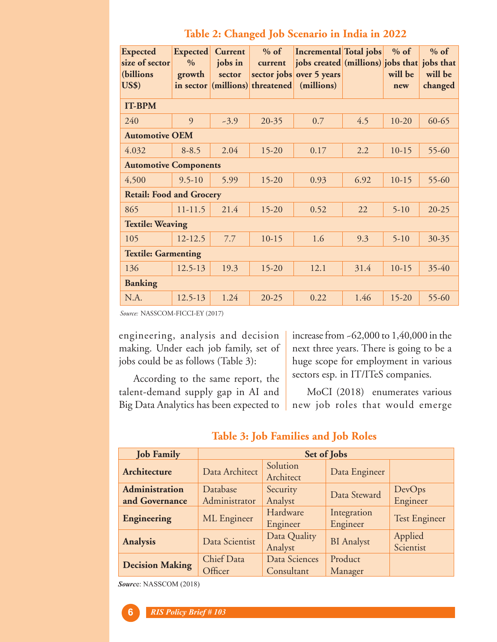|  | Table 2: Changed Job Scenario in India in 2022 |
|--|------------------------------------------------|
|--|------------------------------------------------|

| <b>Expected</b>                 | <b>Expected</b> | Current | $%$ of                          | <b>Incremental Total jobs</b>               |      | $%$ of    | $%$ of    |
|---------------------------------|-----------------|---------|---------------------------------|---------------------------------------------|------|-----------|-----------|
| size of sector                  | $\frac{0}{0}$   | jobs in | current                         | jobs created (millions) jobs that jobs that |      |           |           |
| (billions                       | growth          | sector  |                                 | sector jobs over 5 years                    |      | will be   | will be   |
| <b>US\$)</b>                    |                 |         | in sector (millions) threatened | (millions)                                  |      | new       | changed   |
| <b>IT-BPM</b>                   |                 |         |                                 |                                             |      |           |           |
| 240                             | 9               | $-3.9$  | $20 - 35$                       | 0.7                                         | 4.5  | $10-20$   | $60 - 65$ |
| <b>Automotive OEM</b>           |                 |         |                                 |                                             |      |           |           |
| 4.032                           | $8 - 8.5$       | 2.04    | $15 - 20$                       | 0.17                                        | 2.2  | $10-15$   | 55-60     |
| <b>Automotive Components</b>    |                 |         |                                 |                                             |      |           |           |
| 4,500                           | $9.5 - 10$      | 5.99    | $15 - 20$                       | 0.93                                        | 6.92 | $10-15$   | $55 - 60$ |
| <b>Retail: Food and Grocery</b> |                 |         |                                 |                                             |      |           |           |
| 865                             | $11 - 11.5$     | 21.4    | $15 - 20$                       | 0.52                                        | 22   | $5-10$    | $20 - 25$ |
| <b>Textile: Weaving</b>         |                 |         |                                 |                                             |      |           |           |
| 105                             | $12 - 12.5$     | 7.7     | $10-15$                         | 1.6                                         | 9.3  | $5-10$    | $30 - 35$ |
| <b>Textile: Garmenting</b>      |                 |         |                                 |                                             |      |           |           |
| 136                             | 12.5-13         | 19.3    | $15 - 20$                       | 12.1                                        | 31.4 | $10-15$   | 35-40     |
| <b>Banking</b>                  |                 |         |                                 |                                             |      |           |           |
| N.A.                            | 12.5-13         | 1.24    | $20 - 25$                       | 0.22                                        | 1.46 | $15 - 20$ | 55-60     |

*Source:* NASSCOM-FICCI-EY (2017)

engineering, analysis and decision making. Under each job family, set of jobs could be as follows (Table 3):

next three years. There is going to be a huge scope for employment in various sectors esp. in IT/ITeS companies.

increase from ~62,000 to 1,40,000 in the

According to the same report, the talent-demand supply gap in AI and Big Data Analytics has been expected to MoCI (2018) enumerates various new job roles that would emerge

 **Table 3: Job Families and Job Roles** 

| <b>Job Family</b>      | Set of Jobs           |                             |                         |                      |  |  |
|------------------------|-----------------------|-----------------------------|-------------------------|----------------------|--|--|
| Architecture           | Data Architect        | Solution<br>Architect       | Data Engineer           |                      |  |  |
| <b>Administration</b>  | Database              | Security                    | Data Steward            | DevOps               |  |  |
| and Governance         | Administrator         | Analyst                     |                         | Engineer             |  |  |
| Engineering            | ML Engineer           | Hardware<br>Engineer        | Integration<br>Engineer | <b>Test Engineer</b> |  |  |
| <b>Analysis</b>        | Data Scientist        | Data Quality<br>Analyst     | <b>BI</b> Analyst       | Applied<br>Scientist |  |  |
| <b>Decision Making</b> | Chief Data<br>Officer | Data Sciences<br>Consultant | Product<br>Manager      |                      |  |  |

*Sourc*e: NASSCOM (2018)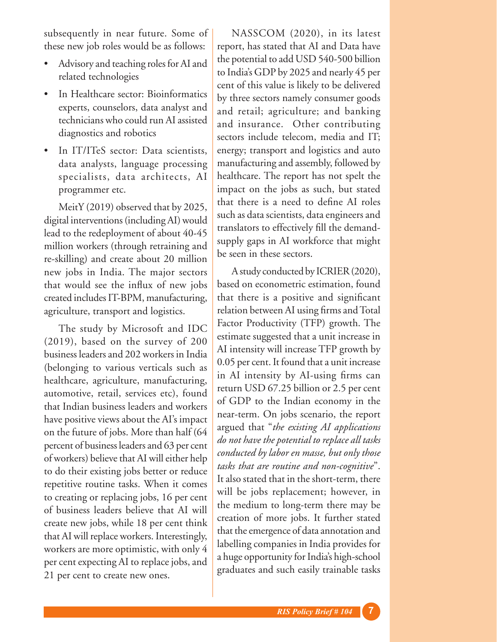subsequently in near future. Some of these new job roles would be as follows:

- Advisory and teaching roles for AI and related technologies
- In Healthcare sector: Bioinformatics experts, counselors, data analyst and technicians who could run AI assisted diagnostics and robotics
- In IT/ITeS sector: Data scientists, data analysts, language processing specialists, data architects, AI programmer etc.

MeitY (2019) observed that by 2025, digital interventions (including AI) would lead to the redeployment of about 40-45 million workers (through retraining and re-skilling) and create about 20 million new jobs in India. The major sectors that would see the influx of new jobs created includes IT-BPM, manufacturing, agriculture, transport and logistics.

The study by Microsoft and IDC (2019), based on the survey of 200 business leaders and 202 workers in India (belonging to various verticals such as healthcare, agriculture, manufacturing, automotive, retail, services etc), found that Indian business leaders and workers have positive views about the AI's impact on the future of jobs. More than half (64 percent of business leaders and 63 per cent of workers) believe that AI will either help to do their existing jobs better or reduce repetitive routine tasks. When it comes to creating or replacing jobs, 16 per cent of business leaders believe that AI will create new jobs, while 18 per cent think that AI will replace workers. Interestingly, workers are more optimistic, with only 4 per cent expecting AI to replace jobs, and 21 per cent to create new ones.

NASSCOM (2020), in its latest report, has stated that AI and Data have the potential to add USD 540-500 billion to India's GDP by 2025 and nearly 45 per cent of this value is likely to be delivered by three sectors namely consumer goods and retail; agriculture; and banking and insurance. Other contributing sectors include telecom, media and IT; energy; transport and logistics and auto manufacturing and assembly, followed by healthcare. The report has not spelt the impact on the jobs as such, but stated that there is a need to define AI roles such as data scientists, data engineers and translators to effectively fill the demandsupply gaps in AI workforce that might be seen in these sectors.

A study conducted by ICRIER (2020), based on econometric estimation, found that there is a positive and significant relation between AI using firms and Total Factor Productivity (TFP) growth. The estimate suggested that a unit increase in AI intensity will increase TFP growth by 0.05 per cent. It found that a unit increase in AI intensity by AI-using firms can return USD 67.25 billion or 2.5 per cent of GDP to the Indian economy in the near-term. On jobs scenario, the report argued that "*the existing AI applications do not have the potential to replace all tasks conducted by labor en masse, but only those tasks that are routine and non-cognitive*". It also stated that in the short-term, there will be jobs replacement; however, in the medium to long-term there may be creation of more jobs. It further stated that the emergence of data annotation and labelling companies in India provides for a huge opportunity for India's high-school graduates and such easily trainable tasks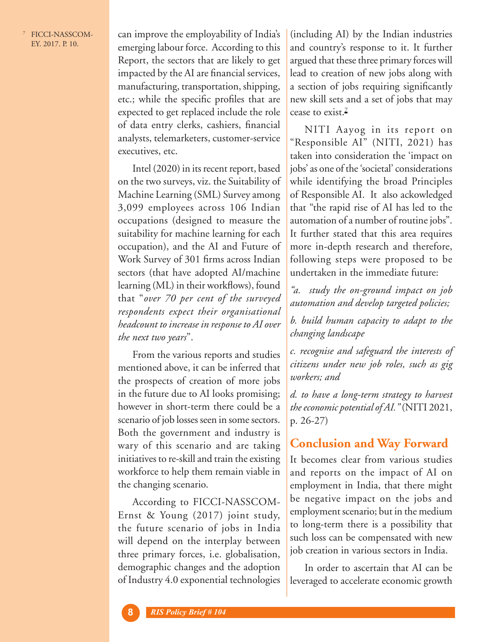<sup>7</sup> FICCI-NASSCOM-EY. 2017. P. 10.

can improve the employability of India's emerging labour force. According to this Report, the sectors that are likely to get impacted by the AI are financial services, manufacturing, transportation, shipping, etc.; while the specific profiles that are expected to get replaced include the role of data entry clerks, cashiers, financial analysts, telemarketers, customer-service executives, etc.

Intel (2020) in its recent report, based on the two surveys, viz. the Suitability of Machine Learning (SML) Survey among 3,099 employees across 106 Indian occupations (designed to measure the suitability for machine learning for each occupation), and the AI and Future of Work Survey of 301 firms across Indian sectors (that have adopted AI/machine learning (ML) in their workflows), found that "*over 70 per cent of the surveyed respondents expect their organisational headcount to increase in response to AI over the next two years*".

From the various reports and studies mentioned above, it can be inferred that the prospects of creation of more jobs in the future due to AI looks promising; however in short-term there could be a scenario of job losses seen in some sectors. Both the government and industry is wary of this scenario and are taking initiatives to re-skill and train the existing workforce to help them remain viable in the changing scenario.

According to FICCI-NASSCOM-Ernst & Young (2017) joint study, the future scenario of jobs in India will depend on the interplay between three primary forces, i.e. globalisation, demographic changes and the adoption of Industry 4.0 exponential technologies

(including AI) by the Indian industries and country's response to it. It further argued that these three primary forces will lead to creation of new jobs along with a section of jobs requiring significantly new skill sets and a set of jobs that may cease to exist.<sup>7</sup>

NITI Aayog in its report on "Responsible AI" (NITI, 2021) has taken into consideration the 'impact on jobs' as one of the 'societal' considerations while identifying the broad Principles of Responsible AI. It also ackowledged that "the rapid rise of AI has led to the automation of a number of routine jobs". It further stated that this area requires more in-depth research and therefore, following steps were proposed to be undertaken in the immediate future:

*"a. study the on-ground impact on job automation and develop targeted policies;*

*b. build human capacity to adapt to the changing landscape* 

*c. recognise and safeguard the interests of citizens under new job roles, such as gig workers; and*

*d. to have a long-term strategy to harvest the economic potential of AI."* (NITI 2021, p. 26-27)

# **Conclusion and Way Forward**

It becomes clear from various studies and reports on the impact of AI on employment in India, that there might be negative impact on the jobs and employment scenario; but in the medium to long-term there is a possibility that such loss can be compensated with new job creation in various sectors in India.

In order to ascertain that AI can be leveraged to accelerate economic growth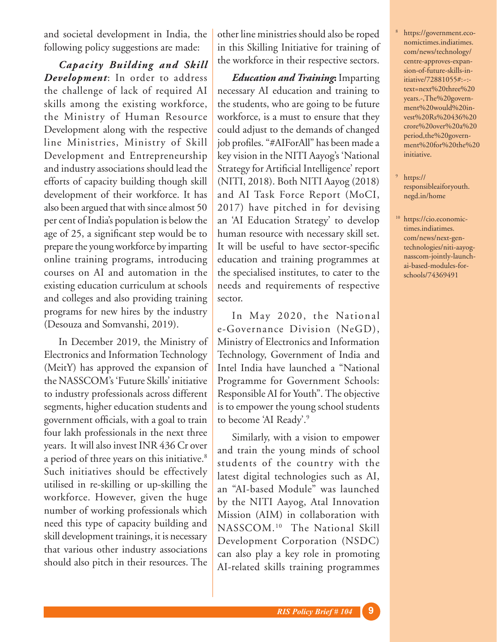and societal development in India, the following policy suggestions are made:

*Capacity Building and Skill Development*: In order to address the challenge of lack of required AI skills among the existing workforce, the Ministry of Human Resource Development along with the respective line Ministries, Ministry of Skill Development and Entrepreneurship and industry associations should lead the efforts of capacity building though skill development of their workforce. It has also been argued that with since almost 50 per cent of India's population is below the age of 25, a significant step would be to prepare the young workforce by imparting online training programs, introducing courses on AI and automation in the existing education curriculum at schools and colleges and also providing training programs for new hires by the industry (Desouza and Somvanshi, 2019).

In December 2019, the Ministry of Electronics and Information Technology (MeitY) has approved the expansion of the NASSCOM's 'Future Skills' initiative to industry professionals across different segments, higher education students and government officials, with a goal to train four lakh professionals in the next three years. It will also invest INR 436 Cr over a period of three years on this initiative.<sup>8</sup> Such initiatives should be effectively utilised in re-skilling or up-skilling the workforce. However, given the huge number of working professionals which need this type of capacity building and skill development trainings, it is necessary that various other industry associations should also pitch in their resources. The

other line ministries should also be roped in this Skilling Initiative for training of the workforce in their respective sectors.

*Education and Training***:** Imparting necessary AI education and training to the students, who are going to be future workforce, is a must to ensure that they could adjust to the demands of changed job profiles. "#AIForAll" has been made a key vision in the NITI Aayog's 'National Strategy for Artificial Intelligence' report (NITI, 2018). Both NITI Aayog (2018) and AI Task Force Report (MoCI, 2017) have pitched in for devising an 'AI Education Strategy' to develop human resource with necessary skill set. It will be useful to have sector-specific education and training programmes at the specialised institutes, to cater to the needs and requirements of respective sector.

In May 2020, the National e-Governance Division (NeGD), Ministry of Electronics and Information Technology, Government of India and Intel India have launched a "National Programme for Government Schools: Responsible AI for Youth". The objective is to empower the young school students to become 'AI Ready'.9

Similarly, with a vision to empower and train the young minds of school students of the country with the latest digital technologies such as AI, an "AI-based Module" was launched by the NITI Aayog, Atal Innovation Mission (AIM) in collaboration with NASSCOM.10 The National Skill Development Corporation (NSDC) can also play a key role in promoting AI-related skills training programmes

- <sup>8</sup> https://government.economictimes.indiatimes. com/news/technology/ centre-approves-expansion-of-future-skills-initiative/72881055#:~: text=next%20three%20 years.-,The%20government%20would%20invest%20Rs%20436%20 crore%20over%20a%20 period,the%20government%20for%20the%20 initiative.
- <sup>9</sup> https:// responsibleaiforyouth. negd.in/home
- <sup>10</sup> https://cio.economictimes.indiatimes. com/news/next-gentechnologies/niti-aayognasscom-jointly-launchai-based-modules-forschools/74369491

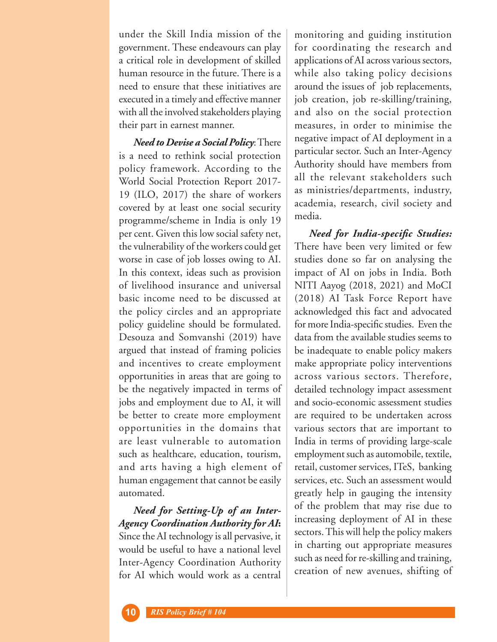under the Skill India mission of the government. These endeavours can play a critical role in development of skilled human resource in the future. There is a need to ensure that these initiatives are executed in a timely and effective manner with all the involved stakeholders playing their part in earnest manner.

*Need to Devise a Social Policy*: There is a need to rethink social protection policy framework. According to the World Social Protection Report 2017- 19 (ILO, 2017) the share of workers covered by at least one social security programme/scheme in India is only 19 per cent. Given this low social safety net, the vulnerability of the workers could get worse in case of job losses owing to AI. In this context, ideas such as provision of livelihood insurance and universal basic income need to be discussed at the policy circles and an appropriate policy guideline should be formulated. Desouza and Somvanshi (2019) have argued that instead of framing policies and incentives to create employment opportunities in areas that are going to be the negatively impacted in terms of jobs and employment due to AI, it will be better to create more employment opportunities in the domains that are least vulnerable to automation such as healthcare, education, tourism, and arts having a high element of human engagement that cannot be easily automated.

*Need for Setting-Up of an Inter-Agency Coordination Authority for AI***:** Since the AI technology is all pervasive, it would be useful to have a national level Inter-Agency Coordination Authority for AI which would work as a central

monitoring and guiding institution for coordinating the research and applications of AI across various sectors, while also taking policy decisions around the issues of job replacements, job creation, job re-skilling/training, and also on the social protection measures, in order to minimise the negative impact of AI deployment in a particular sector. Such an Inter-Agency Authority should have members from all the relevant stakeholders such as ministries/departments, industry, academia, research, civil society and media.

*Need for India-specific Studies:* There have been very limited or few studies done so far on analysing the impact of AI on jobs in India. Both NITI Aayog (2018, 2021) and MoCI (2018) AI Task Force Report have acknowledged this fact and advocated for more India-specific studies. Even the data from the available studies seems to be inadequate to enable policy makers make appropriate policy interventions across various sectors. Therefore, detailed technology impact assessment and socio-economic assessment studies are required to be undertaken across various sectors that are important to India in terms of providing large-scale employment such as automobile, textile, retail, customer services, ITeS, banking services, etc. Such an assessment would greatly help in gauging the intensity of the problem that may rise due to increasing deployment of AI in these sectors. This will help the policy makers in charting out appropriate measures such as need for re-skilling and training, creation of new avenues, shifting of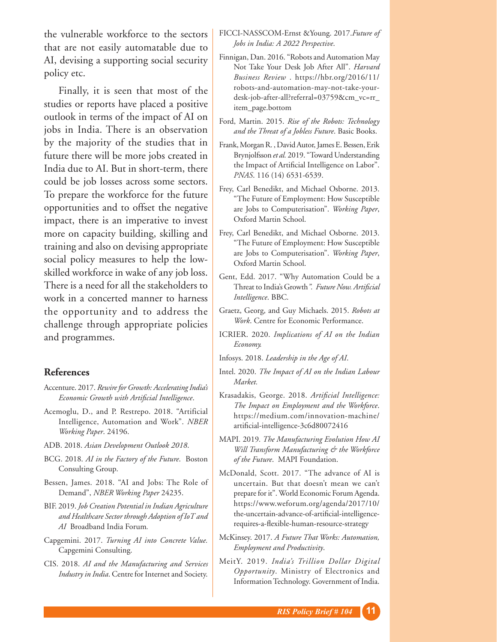the vulnerable workforce to the sectors that are not easily automatable due to AI, devising a supporting social security policy etc.

Finally, it is seen that most of the studies or reports have placed a positive outlook in terms of the impact of AI on jobs in India. There is an observation by the majority of the studies that in future there will be more jobs created in India due to AI. But in short-term, there could be job losses across some sectors. To prepare the workforce for the future opportunities and to offset the negative impact, there is an imperative to invest more on capacity building, skilling and training and also on devising appropriate social policy measures to help the lowskilled workforce in wake of any job loss. There is a need for all the stakeholders to work in a concerted manner to harness the opportunity and to address the challenge through appropriate policies and programmes.

### **References**

- Accenture. 2017. *Rewire for Growth: Accelerating India's Economic Growth with Artificial Intelligence*.
- Acemoglu, D., and P. Restrepo. 2018. "Artificial Intelligence, Automation and Work". *NBER Working Paper*. 24196.
- ADB. 2018. *Asian Development Outlook 2018*.
- BCG. 2018. *AI in the Factory of the Future*. Boston Consulting Group.
- Bessen, James. 2018. "AI and Jobs: The Role of Demand", *NBER Working Paper* 24235.
- BIF. 2019. *Job Creation Potential in Indian Agriculture and Healthcare Sector through Adoption of IoT and AI* Broadband India Forum*.*
- Capgemini. 2017. *Turning AI into Concrete Value.*  Capgemini Consulting.
- CIS. 2018. *AI and the Manufacturing and Services Industry in India*. Centre for Internet and Society.
- FICCI-NASSCOM-Ernst &Young. 2017.*Future of Jobs in India: A 2022 Perspective*.
- Finnigan, Dan. 2016. "Robots and Automation May Not Take Your Desk Job After All". *Harvard Business Review* . https://hbr.org/2016/11/ robots-and-automation-may-not-take-yourdesk-job-after-all?referral=03759&cm\_vc=rr\_ item\_page.bottom
- Ford, Martin. 2015. *Rise of the Robots: Technology and the Threat of a Jobless Future*. Basic Books.
- Frank, Morgan R. , David Autor, James E. Bessen, Erik Brynjolfsson *et al.* 2019. "Toward Understanding the Impact of Artificial Intelligence on Labor". *PNAS*. 116 (14) 6531-6539.
- Frey, Carl Benedikt, and Michael Osborne. 2013. "The Future of Employment: How Susceptible are Jobs to Computerisation". *Working Paper*, Oxford Martin School.
- Frey, Carl Benedikt, and Michael Osborne. 2013. "The Future of Employment: How Susceptible are Jobs to Computerisation". *Working Paper*, Oxford Martin School.
- Gent, Edd. 2017. "Why Automation Could be a Threat to India's Growth*". Future Now. Artificial Intelligence*. BBC.
- Graetz, Georg, and Guy Michaels. 2015. *Robots at Work*. Centre for Economic Performance.
- ICRIER. 2020. *Implications of AI on the Indian Economy.*
- Infosys. 2018. *Leadership in the Age of AI*.
- Intel. 2020. *The Impact of AI on the Indian Labour Market.*
- Krasadakis, George. 2018. *Artificial Intelligence: The Impact on Employment and the Workforce*. https://medium.com/innovation-machine/ artificial-intelligence-3c6d80072416
- MAPI. 2019*. The Manufacturing Evolution How AI Will Transform Manufacturing & the Workforce of the Future*. MAPI Foundation.
- McDonald, Scott. 2017. "The advance of AI is uncertain. But that doesn't mean we can't prepare for it". World Economic Forum Agenda. https://www.weforum.org/agenda/2017/10/ the-uncertain-advance-of-artificial-intelligencerequires-a-flexible-human-resource-strategy
- McKinsey. 2017. *A Future That Works: Automation, Employment and Productivity*.
- MeitY. 2019. *India's Trillion Dollar Digital Opportunity*. Ministry of Electronics and Information Technology. Government of India.